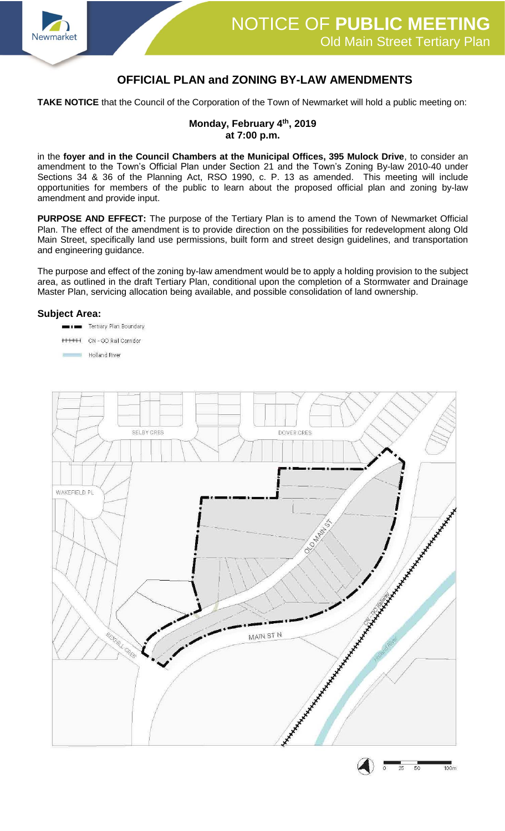

## **OFFICIAL PLAN and ZONING BY-LAW AMENDMENTS**

**TAKE NOTICE** that the Council of the Corporation of the Town of Newmarket will hold a public meeting on:

## **Monday, February 4th, 2019 at 7:00 p.m.**

in the **foyer and in the Council Chambers at the Municipal Offices, 395 Mulock Drive**, to consider an amendment to the Town's Official Plan under Section 21 and the Town's Zoning By-law 2010-40 under Sections 34 & 36 of the Planning Act, RSO 1990, c. P. 13 as amended. This meeting will include opportunities for members of the public to learn about the proposed official plan and zoning by-law amendment and provide input.

**PURPOSE AND EFFECT:** The purpose of the Tertiary Plan is to amend the Town of Newmarket Official Plan. The effect of the amendment is to provide direction on the possibilities for redevelopment along Old Main Street, specifically land use permissions, built form and street design guidelines, and transportation and engineering guidance.

The purpose and effect of the zoning by-law amendment would be to apply a holding provision to the subject area, as outlined in the draft Tertiary Plan, conditional upon the completion of a Stormwater and Drainage Master Plan, servicing allocation being available, and possible consolidation of land ownership.

## **Subject Area:**